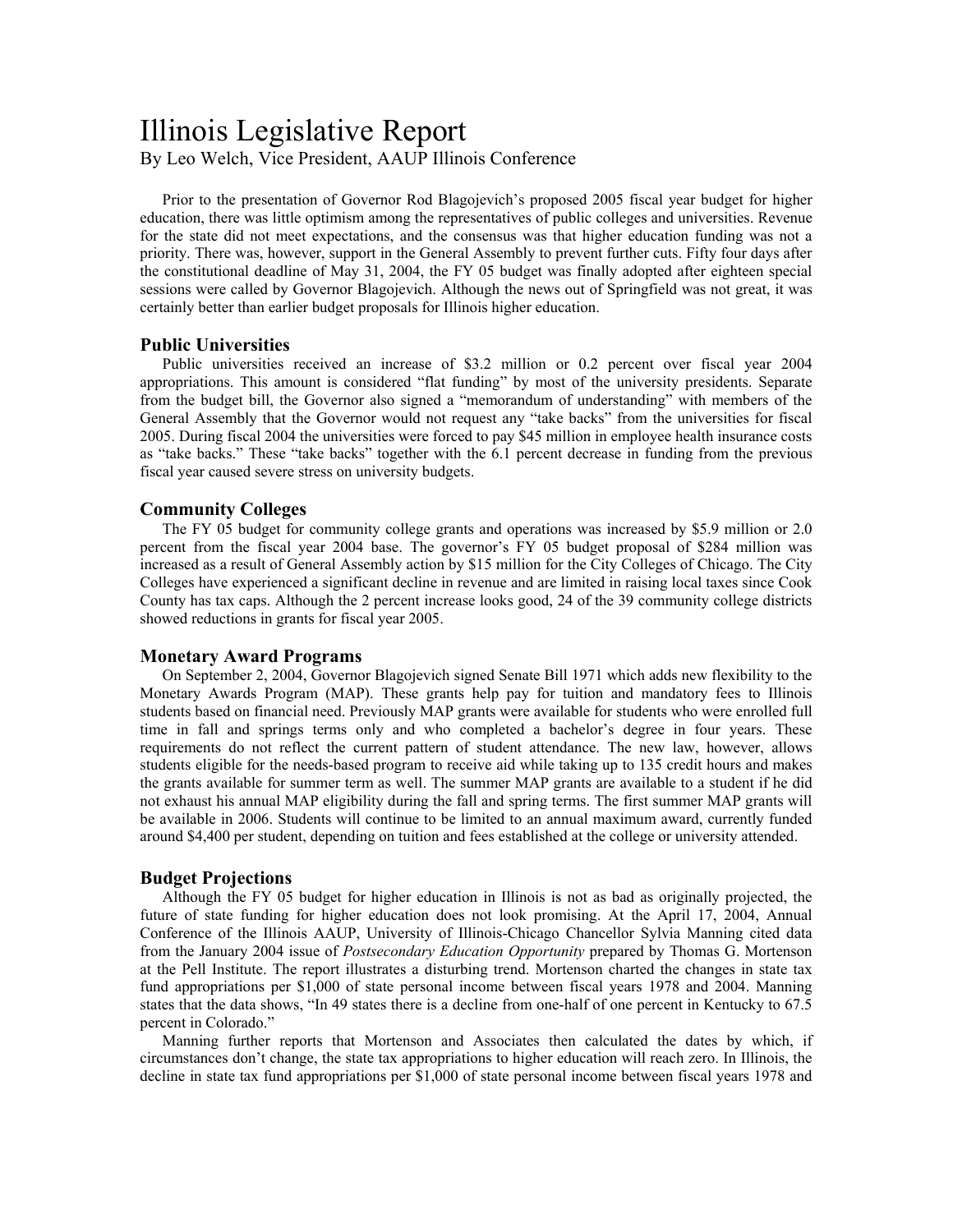# Illinois Legislative Report

By Leo Welch, Vice President, AAUP Illinois Conference

Prior to the presentation of Governor Rod Blagojevich's proposed 2005 fiscal year budget for higher education, there was little optimism among the representatives of public colleges and universities. Revenue for the state did not meet expectations, and the consensus was that higher education funding was not a priority. There was, however, support in the General Assembly to prevent further cuts. Fifty four days after the constitutional deadline of May 31, 2004, the FY 05 budget was finally adopted after eighteen special sessions were called by Governor Blagojevich. Although the news out of Springfield was not great, it was certainly better than earlier budget proposals for Illinois higher education.

## **Public Universities**

Public universities received an increase of \$3.2 million or 0.2 percent over fiscal year 2004 appropriations. This amount is considered "flat funding" by most of the university presidents. Separate from the budget bill, the Governor also signed a "memorandum of understanding" with members of the General Assembly that the Governor would not request any "take backs" from the universities for fiscal 2005. During fiscal 2004 the universities were forced to pay \$45 million in employee health insurance costs as "take backs." These "take backs" together with the 6.1 percent decrease in funding from the previous fiscal year caused severe stress on university budgets.

## **Community Colleges**

The FY 05 budget for community college grants and operations was increased by \$5.9 million or 2.0 percent from the fiscal year 2004 base. The governor's FY 05 budget proposal of \$284 million was increased as a result of General Assembly action by \$15 million for the City Colleges of Chicago. The City Colleges have experienced a significant decline in revenue and are limited in raising local taxes since Cook County has tax caps. Although the 2 percent increase looks good, 24 of the 39 community college districts showed reductions in grants for fiscal year 2005.

#### **Monetary Award Programs**

On September 2, 2004, Governor Blagojevich signed Senate Bill 1971 which adds new flexibility to the Monetary Awards Program (MAP). These grants help pay for tuition and mandatory fees to Illinois students based on financial need. Previously MAP grants were available for students who were enrolled full time in fall and springs terms only and who completed a bachelor's degree in four years. These requirements do not reflect the current pattern of student attendance. The new law, however, allows students eligible for the needs-based program to receive aid while taking up to 135 credit hours and makes the grants available for summer term as well. The summer MAP grants are available to a student if he did not exhaust his annual MAP eligibility during the fall and spring terms. The first summer MAP grants will be available in 2006. Students will continue to be limited to an annual maximum award, currently funded around \$4,400 per student, depending on tuition and fees established at the college or university attended.

#### **Budget Projections**

Although the FY 05 budget for higher education in Illinois is not as bad as originally projected, the future of state funding for higher education does not look promising. At the April 17, 2004, Annual Conference of the Illinois AAUP, University of Illinois-Chicago Chancellor Sylvia Manning cited data from the January 2004 issue of *Postsecondary Education Opportunity* prepared by Thomas G. Mortenson at the Pell Institute. The report illustrates a disturbing trend. Mortenson charted the changes in state tax fund appropriations per \$1,000 of state personal income between fiscal years 1978 and 2004. Manning states that the data shows, "In 49 states there is a decline from one-half of one percent in Kentucky to 67.5 percent in Colorado."

Manning further reports that Mortenson and Associates then calculated the dates by which, if circumstances don't change, the state tax appropriations to higher education will reach zero. In Illinois, the decline in state tax fund appropriations per \$1,000 of state personal income between fiscal years 1978 and